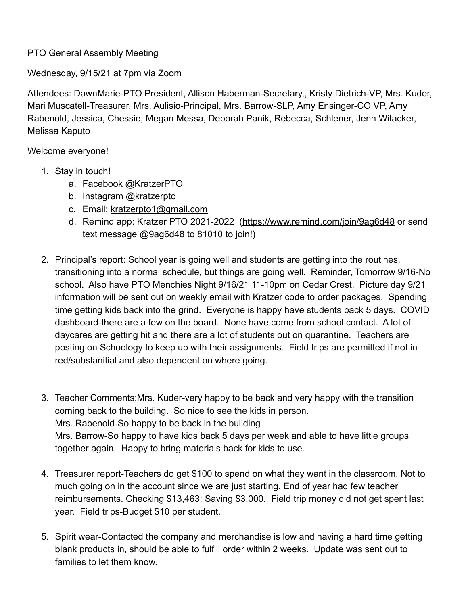## PTO General Assembly Meeting

Wednesday, 9/15/21 at 7pm via Zoom

Attendees: DawnMarie-PTO President, Allison Haberman-Secretary,, Kristy Dietrich-VP, Mrs. Kuder, Mari Muscatell-Treasurer, Mrs. Aulisio-Principal, Mrs. Barrow-SLP, Amy Ensinger-CO VP, Amy Rabenold, Jessica, Chessie, Megan Messa, Deborah Panik, Rebecca, Schlener, Jenn Witacker, Melissa Kaputo

Welcome everyone!

- 1. Stay in touch!
	- a. Facebook @KratzerPTO
	- b. Instagram @kratzerpto
	- c. Email: kratzerpto1@gmail.com
	- d. Remind app: Kratzer PTO 2021-2022 (https://www.remind.com/join/9ag6d48 or send text message @9ag6d48 to 81010 to join!)
- 2. Principal's report: School year is going well and students are getting into the routines, transitioning into a normal schedule, but things are going well. Reminder, Tomorrow 9/16-No school. Also have PTO Menchies Night 9/16/21 11-10pm on Cedar Crest. Picture day 9/21 information will be sent out on weekly email with Kratzer code to order packages. Spending time getting kids back into the grind. Everyone is happy have students back 5 days. COVID dashboard-there are a few on the board. None have come from school contact. A lot of daycares are getting hit and there are a lot of students out on quarantine. Teachers are posting on Schoology to keep up with their assignments. Field trips are permitted if not in red/substanitial and also dependent on where going.
- 3. Teacher Comments:Mrs. Kuder-very happy to be back and very happy with the transition coming back to the building. So nice to see the kids in person. Mrs. Rabenold-So happy to be back in the building Mrs. Barrow-So happy to have kids back 5 days per week and able to have little groups together again. Happy to bring materials back for kids to use.
- 4. Treasurer report-Teachers do get \$100 to spend on what they want in the classroom. Not to much going on in the account since we are just starting. End of year had few teacher reimbursements. Checking \$13,463; Saving \$3,000. Field trip money did not get spent last year. Field trips-Budget \$10 per student.
- 5. Spirit wear-Contacted the company and merchandise is low and having a hard time getting blank products in, should be able to fulfill order within 2 weeks. Update was sent out to families to let them know.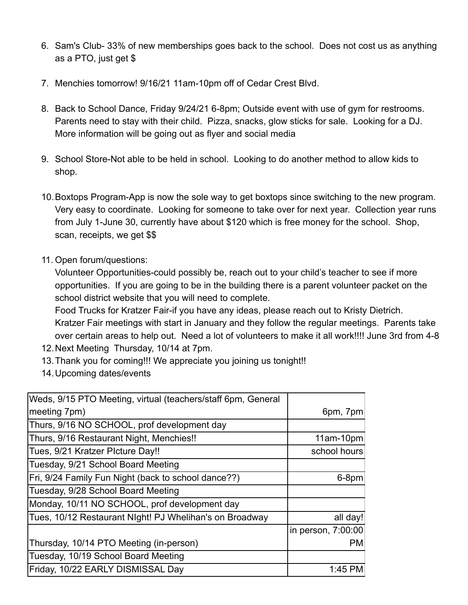- 6. Sam's Club- 33% of new memberships goes back to the school. Does not cost us as anything as a PTO, just get \$
- 7. Menchies tomorrow! 9/16/21 11am-10pm off of Cedar Crest Blvd.
- 8. Back to School Dance, Friday 9/24/21 6-8pm; Outside event with use of gym for restrooms. Parents need to stay with their child. Pizza, snacks, glow sticks for sale. Looking for a DJ. More information will be going out as flyer and social media
- 9. School Store-Not able to be held in school. Looking to do another method to allow kids to shop.
- 10.Boxtops Program-App is now the sole way to get boxtops since switching to the new program. Very easy to coordinate. Looking for someone to take over for next year. Collection year runs from July 1-June 30, currently have about \$120 which is free money for the school. Shop, scan, receipts, we get \$\$
- 11. Open forum/questions:

Volunteer Opportunities-could possibly be, reach out to your child's teacher to see if more opportunities. If you are going to be in the building there is a parent volunteer packet on the school district website that you will need to complete.

Food Trucks for Kratzer Fair-if you have any ideas, please reach out to Kristy Dietrich. Kratzer Fair meetings with start in January and they follow the regular meetings. Parents take over certain areas to help out. Need a lot of volunteers to make it all work!!!! June 3rd from 4-8

- 12.Next Meeting Thursday, 10/14 at 7pm.
- 13.Thank you for coming!!! We appreciate you joining us tonight!!
- 14.Upcoming dates/events

| Weds, 9/15 PTO Meeting, virtual (teachers/staff 6pm, General |                    |
|--------------------------------------------------------------|--------------------|
| meeting 7pm)                                                 | 6pm, 7pm           |
| Thurs, 9/16 NO SCHOOL, prof development day                  |                    |
| Thurs, 9/16 Restaurant Night, Menchies!!                     | 11am-10pm          |
| Tues, 9/21 Kratzer Plcture Day!!                             | school hours       |
| Tuesday, 9/21 School Board Meeting                           |                    |
| Fri, 9/24 Family Fun Night (back to school dance??)          | 6-8pm              |
| Tuesday, 9/28 School Board Meeting                           |                    |
| Monday, 10/11 NO SCHOOL, prof development day                |                    |
| Tues, 10/12 Restaurant Night! PJ Whelihan's on Broadway      | all day!           |
|                                                              | in person, 7:00:00 |
| Thursday, 10/14 PTO Meeting (in-person)                      | <b>PM</b>          |
| Tuesday, 10/19 School Board Meeting                          |                    |
| Friday, 10/22 EARLY DISMISSAL Day                            | 1:45 PM            |